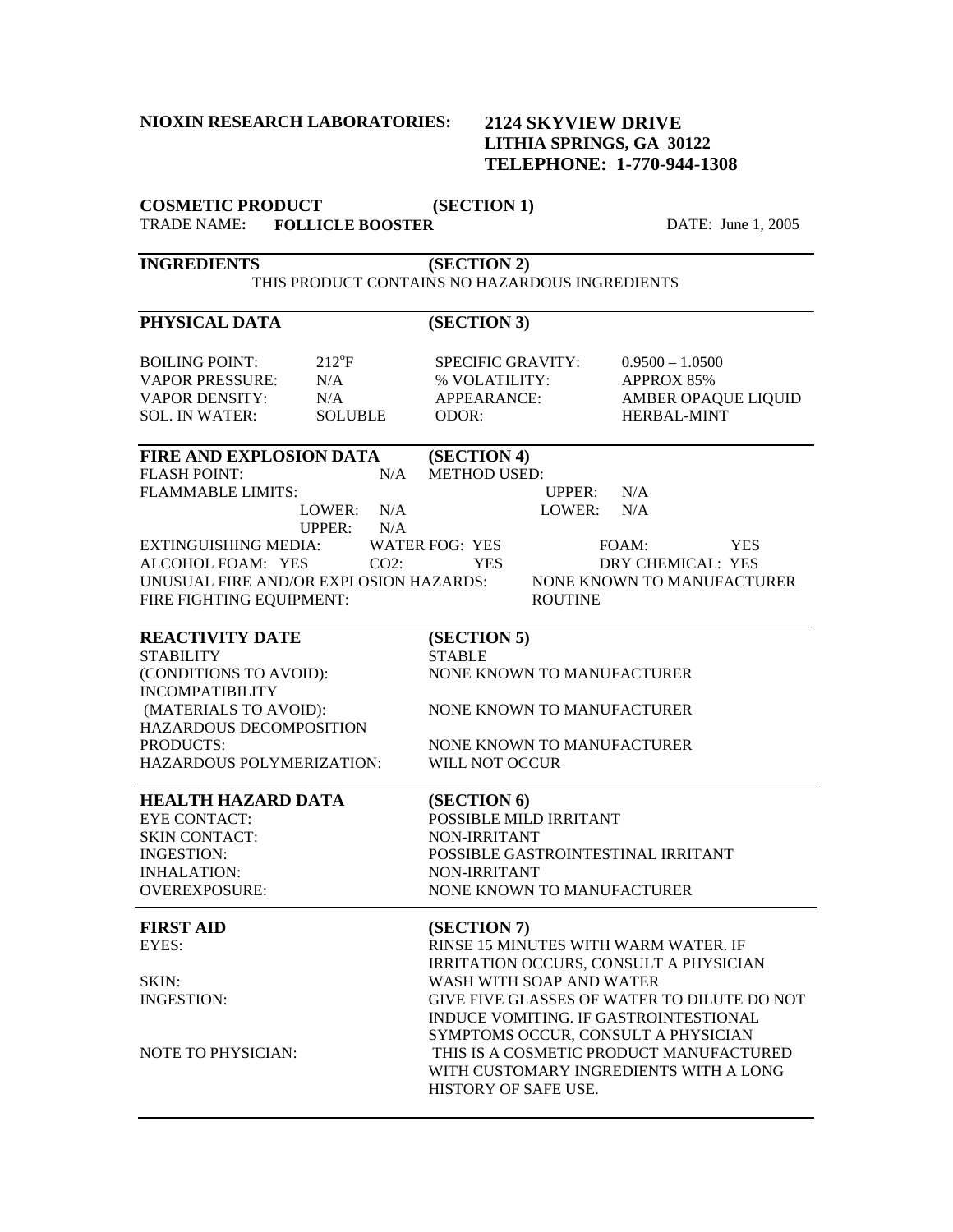### **NIOXIN RESEARCH LABORATORIES:**

## **2124 SKYVIEW DRIVE LITHIA SPRINGS, GA 30122 TELEPHONE: 1-770-944-1308**

**COSMETIC PRODUCT (SECTION 1)** 

TRADE NAME**: FOLLICLE BOOSTER** DATE: June 1, 2005 **INGREDIENTS (SECTION 2)**  THIS PRODUCT CONTAINS NO HAZARDOUS INGREDIENTS PHYSICAL DATA (SECTION 3) BOILING POINT: VAPOR PRESSURE: VAPOR DENSITY: SOL. IN WATER:  $212^{\circ}F$  $N/A$  $N/A$ SOLUBLE SPECIFIC GRAVITY: % VOLATILITY: APPEARANCE: ODOR:  $0.9500 - 1.0500$ APPROX 85% AMBER OPAQUE LIQUID HERBAL-MINT **FIRE AND EXPLOSION DATA (SECTION 4)**  FLASH POINT: FLAMMABLE LIMITS: LOWER: N/A UPPER:  $N/A$ N/A METHOD USED: UPPER: LOWER: N/A N/A EXTINGUISHING MEDIA: WATER FOG: YES FOAM: YES ALCOHOL FOAM: YES CO2: YES DRY CHEMICAL: YES UNUSUAL FIRE AND/OR EXPLOSION HAZARDS: NONE KNOWN TO MANUFACTURER FIRE FIGHTING EQUIPMENT: ROUTINE **REACTIVITY DATE (SECTION 5) STABILITY** (CONDITIONS TO AVOID): STABLE NONE KNOWN TO MANUFACTURER INCOMPATIBILITY (MATERIALS TO AVOID): NONE KNOWN TO MANUFACTURER HAZARDOUS DECOMPOSITION<br>PRODUCTS: NONE KNOWN TO MANUFACTURER HAZARDOUS POLYMERIZATION: WILL NOT OCCUR  $\overline{a}$ **HEALTH HAZARD DATA (SECTION 6)**  EYE CONTACT: POSSIBLE MILD IRRITANT SKIN CONTACT: NON-IRRITANT INGESTION: POSSIBLE GASTROINTESTINAL IRRITANT INHALATION: NON-IRRITANT OVEREXPOSURE: NONE KNOWN TO MANUFACTURER

| (SECTION 7)                                 |
|---------------------------------------------|
| RINSE 15 MINUTES WITH WARM WATER. IF        |
| IRRITATION OCCURS, CONSULT A PHYSICIAN      |
| WASH WITH SOAP AND WATER                    |
| GIVE FIVE GLASSES OF WATER TO DILUTE DO NOT |
| INDUCE VOMITING. IF GASTROINTESTIONAL       |
| SYMPTOMS OCCUR, CONSULT A PHYSICIAN         |
| THIS IS A COSMETIC PRODUCT MANUFACTURED     |
| WITH CUSTOMARY INGREDIENTS WITH A LONG      |
| HISTORY OF SAFE USE.                        |
|                                             |